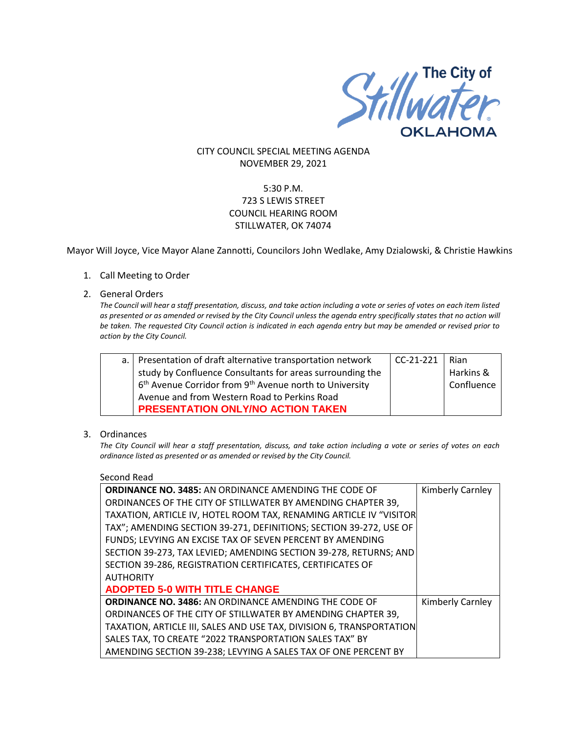

## CITY COUNCIL SPECIAL MEETING AGENDA NOVEMBER 29, 2021

# 5:30 P.M. 723 S LEWIS STREET COUNCIL HEARING ROOM STILLWATER, OK 74074

Mayor Will Joyce, Vice Mayor Alane Zannotti, Councilors John Wedlake, Amy Dzialowski, & Christie Hawkins

### 1. Call Meeting to Order

#### 2. General Orders

*The Council will hear a staff presentation, discuss, and take action including a vote or series of votes on each item listed as presented or as amended or revised by the City Council unless the agenda entry specifically states that no action will be taken. The requested City Council action is indicated in each agenda entry but may be amended or revised prior to action by the City Council.* 

| a.   Presentation of draft alternative transportation network                   | $CC-21-221$ | Rian       |
|---------------------------------------------------------------------------------|-------------|------------|
| study by Confluence Consultants for areas surrounding the                       |             | Harkins &  |
| 6 <sup>th</sup> Avenue Corridor from 9 <sup>th</sup> Avenue north to University |             | Confluence |
| Avenue and from Western Road to Perkins Road                                    |             |            |
| PRESENTATION ONLY/NO ACTION TAKEN                                               |             |            |

#### 3. Ordinances

*The City Council will hear a staff presentation, discuss, and take action including a vote or series of votes on each ordinance listed as presented or as amended or revised by the City Council.*

Second Read

| <b>ORDINANCE NO. 3485: AN ORDINANCE AMENDING THE CODE OF</b>         | Kimberly Carnley        |  |  |  |
|----------------------------------------------------------------------|-------------------------|--|--|--|
| ORDINANCES OF THE CITY OF STILLWATER BY AMENDING CHAPTER 39,         |                         |  |  |  |
| TAXATION, ARTICLE IV, HOTEL ROOM TAX, RENAMING ARTICLE IV "VISITOR   |                         |  |  |  |
| TAX"; AMENDING SECTION 39-271, DEFINITIONS; SECTION 39-272, USE OF   |                         |  |  |  |
| FUNDS; LEVYING AN EXCISE TAX OF SEVEN PERCENT BY AMENDING            |                         |  |  |  |
| SECTION 39-273, TAX LEVIED; AMENDING SECTION 39-278, RETURNS; AND    |                         |  |  |  |
| SECTION 39-286, REGISTRATION CERTIFICATES, CERTIFICATES OF           |                         |  |  |  |
| <b>AUTHORITY</b>                                                     |                         |  |  |  |
| <b>ADOPTED 5-0 WITH TITLE CHANGE</b>                                 |                         |  |  |  |
| <b>ORDINANCE NO. 3486: AN ORDINANCE AMENDING THE CODE OF</b>         | <b>Kimberly Carnley</b> |  |  |  |
| ORDINANCES OF THE CITY OF STILLWATER BY AMENDING CHAPTER 39,         |                         |  |  |  |
| TAXATION, ARTICLE III, SALES AND USE TAX, DIVISION 6, TRANSPORTATION |                         |  |  |  |
| SALES TAX, TO CREATE "2022 TRANSPORTATION SALES TAX" BY              |                         |  |  |  |
| AMENDING SECTION 39-238; LEVYING A SALES TAX OF ONE PERCENT BY       |                         |  |  |  |
|                                                                      |                         |  |  |  |